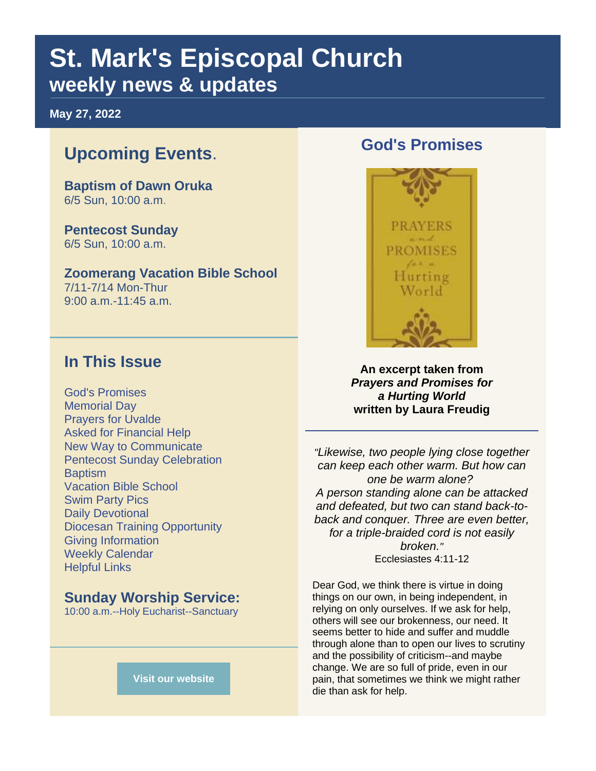# **St. Mark's Episcopal Church weekly news & updates**

**May 27, 2022**

# **Upcoming Events**.

**Baptism of Dawn Oruka** 6/5 Sun, 10:00 a.m.

**Pentecost Sunday** 6/5 Sun, 10:00 a.m.

**Zoomerang Vacation Bible School** 7/11-7/14 Mon-Thur 9:00 a.m.-11:45 a.m.

## **In This Issue**

God's Promises Memorial Day Prayers for Uvalde Asked for Financial Help New Way to Communicate Pentecost Sunday Celebration **Baptism** Vacation Bible School Swim Party Pics Daily Devotional Diocesan Training Opportunity Giving Information Weekly Calendar Helpful Links

#### **Sunday Worship Service:**

10:00 a.m.--Holy Eucharist--Sanctuary





**An excerpt taken from**  *Prayers and Promises for a Hurting World* **written by Laura Freudig**

*"Likewise, two people lying close together can keep each other warm. But how can one be warm alone? A person standing alone can be attacked and defeated, but two can stand back-toback and conquer. Three are even better, for a triple-braided cord is not easily broken."* Ecclesiastes 4:11-12

Dear God, we think there is virtue in doing things on our own, in being independent, in relying on only ourselves. If we ask for help, others will see our brokenness, our need. It seems better to hide and suffer and muddle through alone than to open our lives to scrutiny and the possibility of criticism--and maybe change. We are so full of pride, even in our pain, that sometimes we think we might rather die than ask for help.

**[Visit our website](https://r20.rs6.net/tn.jsp?f=001Xmewttopwco5Wpx2GC-RiMRGphRBkBy6Iuc5jPKJ6zDq1LlDBERbHkOo8kAVTvDbfvJY7zQ1u6HcWTlw51zaUlrnOTCmsjmjzJz228E4eZEwrP-JPLZ6TWT4A3MTdUwPf54Y6C5H3So8SQh7o0hZSw==&c=QYrd2sX6KSemP0Y186fqDgLaEXexnexrnB7zZTC5vU56m5857vjflw==&ch=GIraxL8h6R02FQCkaU8UkEz4hZCnmxkT0xAWYGQq0AegyHMEdYbMcQ==)**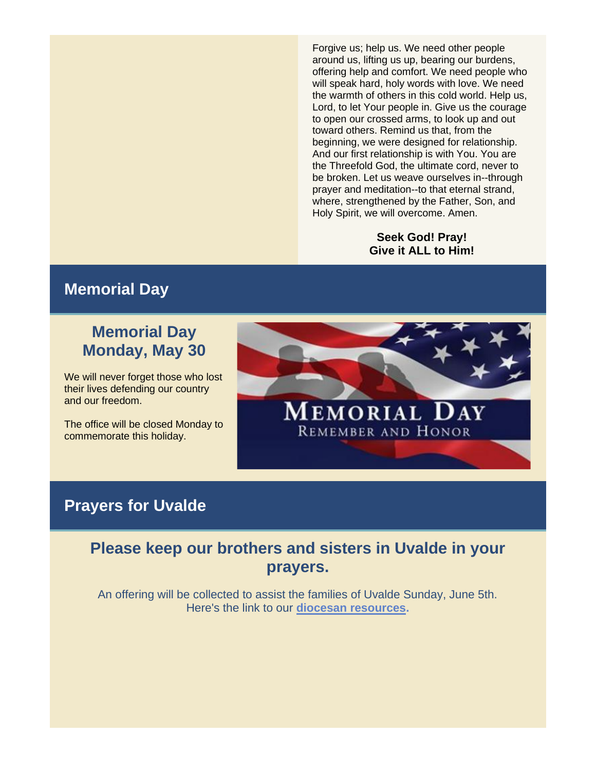Forgive us; help us. We need other people around us, lifting us up, bearing our burdens, offering help and comfort. We need people who will speak hard, holy words with love. We need the warmth of others in this cold world. Help us, Lord, to let Your people in. Give us the courage to open our crossed arms, to look up and out toward others. Remind us that, from the beginning, we were designed for relationship. And our first relationship is with You. You are the Threefold God, the ultimate cord, never to be broken. Let us weave ourselves in--through prayer and meditation--to that eternal strand, where, strengthened by the Father, Son, and Holy Spirit, we will overcome. Amen.

#### **Seek God! Pray! Give it ALL to Him!**

#### **Memorial Day**

# **Memorial Day Monday, May 30**

We will never forget those who lost their lives defending our country and our freedom.

The office will be closed Monday to commemorate this holiday.



#### **Prayers for Uvalde**

#### **Please keep our brothers and sisters in Uvalde in your prayers.**

An offering will be collected to assist the families of Uvalde Sunday, June 5th. Here's the link to our **[diocesan resources.](https://r20.rs6.net/tn.jsp?f=001Xmewttopwco5Wpx2GC-RiMRGphRBkBy6Iuc5jPKJ6zDq1LlDBERbHl17fpzY1DGqpy_S7u4d5nkQw4I7PVHW9o1yAaQkm-wFxkAXUm3rts333B70uLQ4h5oarxms8EDHj5l9ZIS61IuJcPbB85Ml9zW5TRZssiswHjlQfkAOEu4=&c=QYrd2sX6KSemP0Y186fqDgLaEXexnexrnB7zZTC5vU56m5857vjflw==&ch=GIraxL8h6R02FQCkaU8UkEz4hZCnmxkT0xAWYGQq0AegyHMEdYbMcQ==)**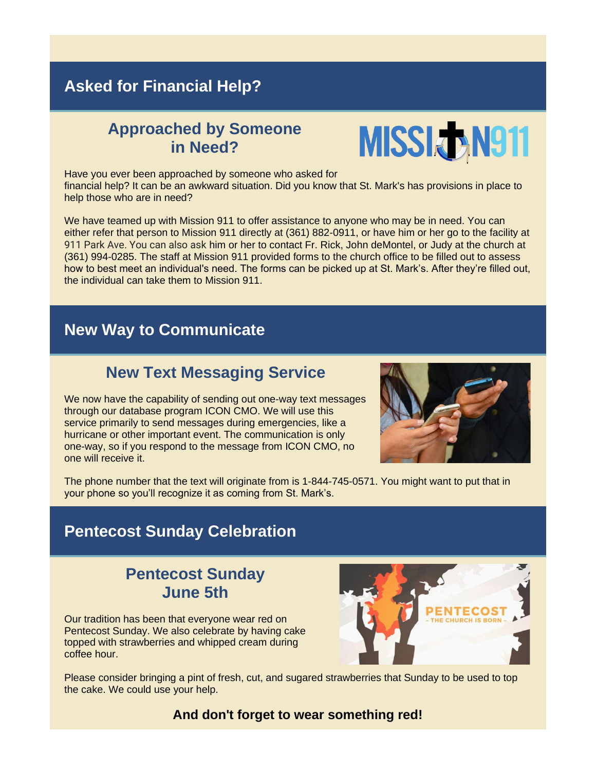# **Asked for Financial Help?**

## **Approached by Someone in Need?**



Have you ever been approached by someone who asked for financial help? It can be an awkward situation. Did you know that St. Mark's has provisions in place to help those who are in need?

We have teamed up with Mission 911 to offer assistance to anyone who may be in need. You can either refer that person to Mission 911 directly at (361) 882-0911, or have him or her go to the facility at 911 Park Ave. You can also ask him or her to contact Fr. Rick, John deMontel, or Judy at the church at (361) 994-0285. The staff at Mission 911 provided forms to the church office to be filled out to assess how to best meet an individual's need. The forms can be picked up at St. Mark's. After they're filled out, the individual can take them to Mission 911.

## **New Way to Communicate**

## **New Text Messaging Service**

We now have the capability of sending out one-way text messages through our database program ICON CMO. We will use this service primarily to send messages during emergencies, like a hurricane or other important event. The communication is only one-way, so if you respond to the message from ICON CMO, no one will receive it.



The phone number that the text will originate from is 1-844-745-0571. You might want to put that in your phone so you'll recognize it as coming from St. Mark's.

## **Pentecost Sunday Celebration**

# **Pentecost Sunday June 5th**

Our tradition has been that everyone wear red on Pentecost Sunday. We also celebrate by having cake topped with strawberries and whipped cream during coffee hour.



Please consider bringing a pint of fresh, cut, and sugared strawberries that Sunday to be used to top the cake. We could use your help.

**And don't forget to wear something red!**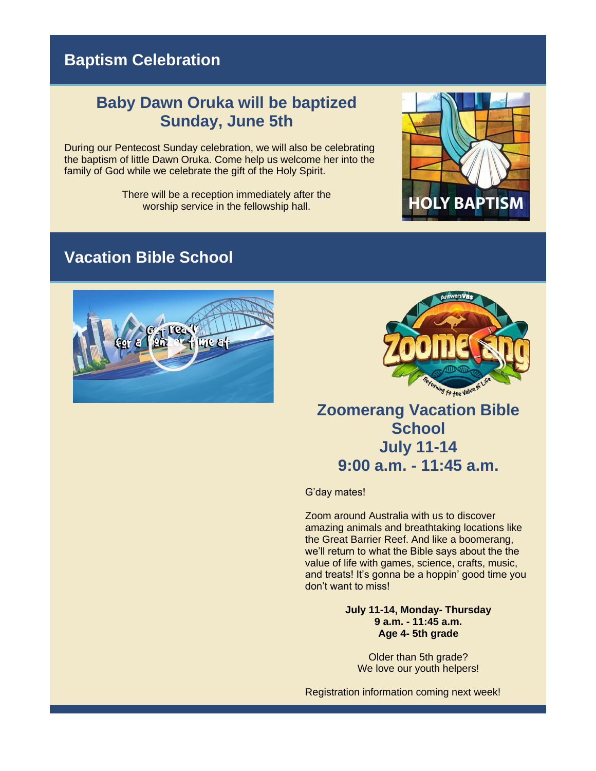# **Baptism Celebration**

#### **Baby Dawn Oruka will be baptized Sunday, June 5th**

During our Pentecost Sunday celebration, we will also be celebrating the baptism of little Dawn Oruka. Come help us welcome her into the family of God while we celebrate the gift of the Holy Spirit.

> There will be a reception immediately after the worship service in the fellowship hall.



## **Vacation Bible School**





**Zoomerang Vacation Bible School July 11-14 9:00 a.m. - 11:45 a.m.**

G'day mates!

Zoom around Australia with us to discover amazing animals and breathtaking locations like the Great Barrier Reef. And like a boomerang, we'll return to what the Bible says about the the value of life with games, science, crafts, music, and treats! It's gonna be a hoppin' good time you don't want to miss!

> **July 11-14, Monday- Thursday 9 a.m. - 11:45 a.m. Age 4- 5th grade**

> > Older than 5th grade? We love our youth helpers!

Registration information coming next week!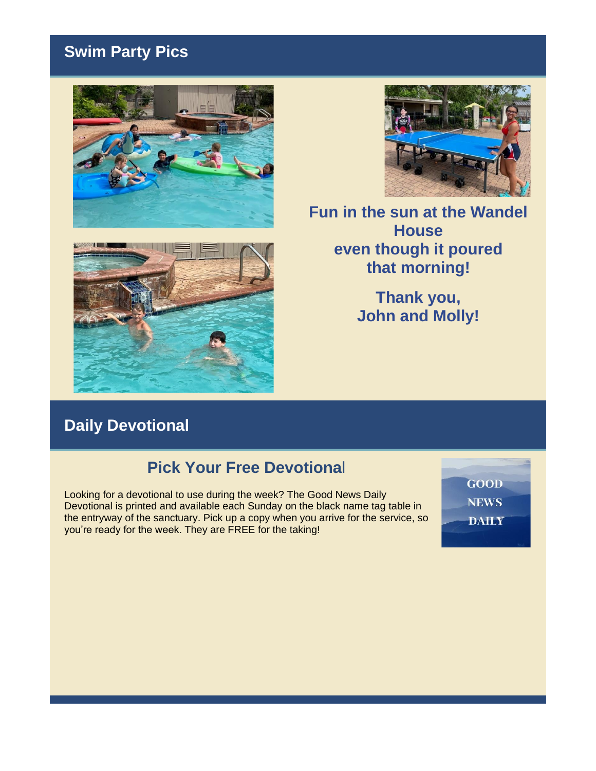# **Swim Party Pics**







**Fun in the sun at the Wandel House even though it poured that morning!**

> **Thank you, John and Molly!**

# **Daily Devotional**

#### **Pick Your Free Devotiona**l

Looking for a devotional to use during the week? The Good News Daily Devotional is printed and available each Sunday on the black name tag table in the entryway of the sanctuary. Pick up a copy when you arrive for the service, so you're ready for the week. They are FREE for the taking!

GOOD **NEWS DAILY**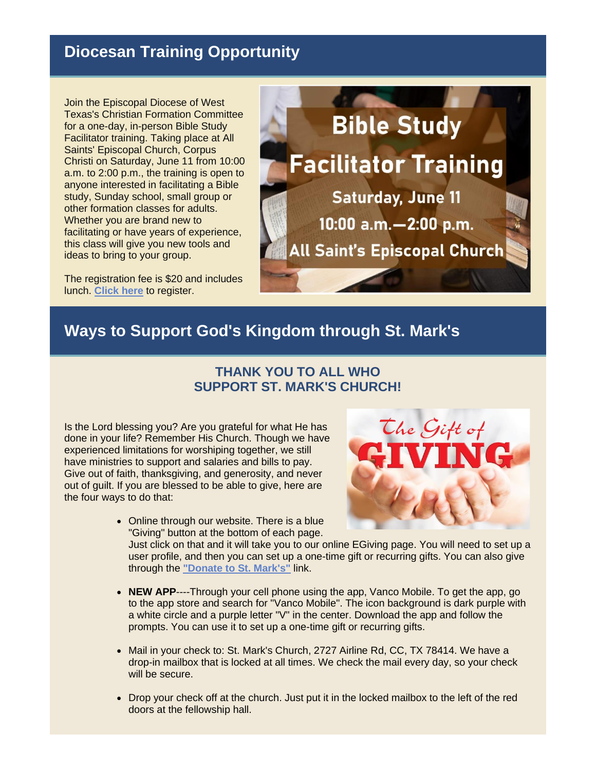# **Diocesan Training Opportunity**

Join the Episcopal Diocese of West Texas's Christian Formation Committee for a one-day, in-person Bible Study Facilitator training. Taking place at [All](https://r20.rs6.net/tn.jsp?f=001Xmewttopwco5Wpx2GC-RiMRGphRBkBy6Iuc5jPKJ6zDq1LlDBERbHv3V5z6_SuiQSkKpWUzkJ0g79kbd6OxVndju2FELs3PWUC0O08koVp_RluLM6a8J-I0FEr6KxDLeTtF7b0b7JF_Ld5iVEIRgHA==&c=QYrd2sX6KSemP0Y186fqDgLaEXexnexrnB7zZTC5vU56m5857vjflw==&ch=GIraxL8h6R02FQCkaU8UkEz4hZCnmxkT0xAWYGQq0AegyHMEdYbMcQ==)  [Saints' Episcopal Church, Corpus](https://r20.rs6.net/tn.jsp?f=001Xmewttopwco5Wpx2GC-RiMRGphRBkBy6Iuc5jPKJ6zDq1LlDBERbHv3V5z6_SuiQSkKpWUzkJ0g79kbd6OxVndju2FELs3PWUC0O08koVp_RluLM6a8J-I0FEr6KxDLeTtF7b0b7JF_Ld5iVEIRgHA==&c=QYrd2sX6KSemP0Y186fqDgLaEXexnexrnB7zZTC5vU56m5857vjflw==&ch=GIraxL8h6R02FQCkaU8UkEz4hZCnmxkT0xAWYGQq0AegyHMEdYbMcQ==)  [Christi o](https://r20.rs6.net/tn.jsp?f=001Xmewttopwco5Wpx2GC-RiMRGphRBkBy6Iuc5jPKJ6zDq1LlDBERbHv3V5z6_SuiQSkKpWUzkJ0g79kbd6OxVndju2FELs3PWUC0O08koVp_RluLM6a8J-I0FEr6KxDLeTtF7b0b7JF_Ld5iVEIRgHA==&c=QYrd2sX6KSemP0Y186fqDgLaEXexnexrnB7zZTC5vU56m5857vjflw==&ch=GIraxL8h6R02FQCkaU8UkEz4hZCnmxkT0xAWYGQq0AegyHMEdYbMcQ==)n Saturday, June 11 from 10:00 a.m. to 2:00 p.m., the training is open to anyone interested in facilitating a Bible study, Sunday school, small group or other formation classes for adults. Whether you are brand new to facilitating or have years of experience, this class will give you new tools and ideas to bring to your group.

The registration fee is \$20 and includes lunch. **[Click here](https://r20.rs6.net/tn.jsp?f=001Xmewttopwco5Wpx2GC-RiMRGphRBkBy6Iuc5jPKJ6zDq1LlDBERbHv3V5z6_SuiQ5hUM6UDhWhvplnfG3NmsBa1GWNYszrbzykiWKZOwrlNAvfXnIB87Rdcmrr4Jsm1phFndv6ePjFkhLe2EJEG7t0LUINKgPFFJuV-6FTJD2fQXZ9LIJpnpoyH-9LDsTxOo&c=QYrd2sX6KSemP0Y186fqDgLaEXexnexrnB7zZTC5vU56m5857vjflw==&ch=GIraxL8h6R02FQCkaU8UkEz4hZCnmxkT0xAWYGQq0AegyHMEdYbMcQ==)** to register.



## **Ways to Support God's Kingdom through St. Mark's**

#### **THANK YOU TO ALL WHO SUPPORT ST. MARK'S CHURCH!**

Is the Lord blessing you? Are you grateful for what He has done in your life? Remember His Church. Though we have experienced limitations for worshiping together, we still have ministries to support and salaries and bills to pay. Give out of faith, thanksgiving, and generosity, and never out of guilt. If you are blessed to be able to give, here are the four ways to do that:



- Online through our website. There is a blue "Giving" button at the bottom of each page. Just click on that and it will take you to our online EGiving page. You will need to set up a
	- user profile, and then you can set up a one-time gift or recurring gifts. You can also give through the **["Donate to St. Mark's"](https://r20.rs6.net/tn.jsp?f=001Xmewttopwco5Wpx2GC-RiMRGphRBkBy6Iuc5jPKJ6zDq1LlDBERbHuBiVRWPvWDgoDMnx0KHG2k8ca641EfXBya-PN_A3NAV8eH_gCpYWyAGbs-rxHLiJ_uHwOg7EZgX1FTS-2idgBJcEbj7-3BLl6V9A_XpVD3NjEywCI6gCkVx1m5Vk5zl81Q7II6zv6CimbndTF9YQJLVK7sDWjHGUZM-BLESzHnajQwZdt2hkFkz727gUqI8VPqURV7MfvxaXM0fXvNVSvjUwXTPzk_1uEw3RhnrcvcMfzqW8g1w8Es39kVf9XoTmL4oi5XS-Exkjd5uyn7P7HWk9OMHDAVwPIYA3gx9Nsnfib0JMDfTSL8=&c=QYrd2sX6KSemP0Y186fqDgLaEXexnexrnB7zZTC5vU56m5857vjflw==&ch=GIraxL8h6R02FQCkaU8UkEz4hZCnmxkT0xAWYGQq0AegyHMEdYbMcQ==)** link.
- **NEW APP**----Through your cell phone using the app, Vanco Mobile. To get the app, go to the app store and search for "Vanco Mobile". The icon background is dark purple with a white circle and a purple letter "V" in the center. Download the app and follow the prompts. You can use it to set up a one-time gift or recurring gifts.
- Mail in your check to: St. Mark's Church, 2727 Airline Rd, CC, TX 78414. We have a drop-in mailbox that is locked at all times. We check the mail every day, so your check will be secure.
- Drop your check off at the church. Just put it in the locked mailbox to the left of the red doors at the fellowship hall.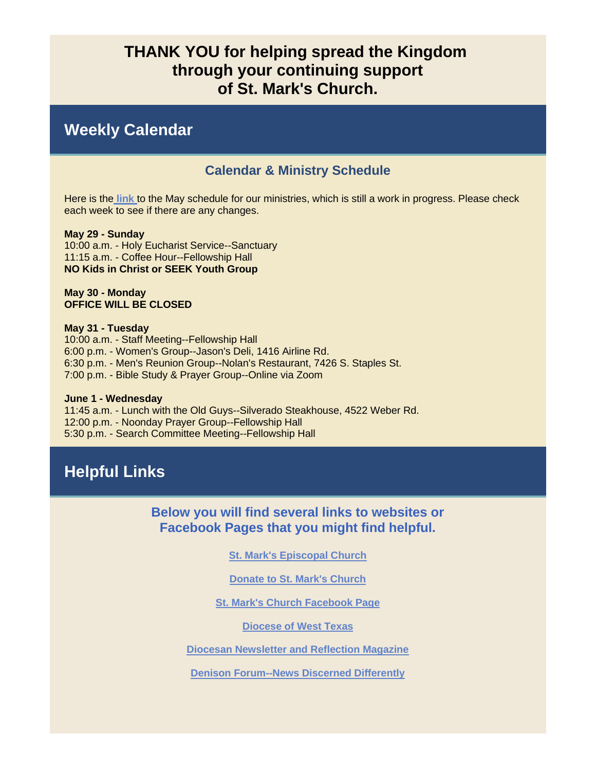#### **THANK YOU for helping spread the Kingdom through your continuing support of St. Mark's Church.**

#### **Weekly Calendar**

#### **Calendar & Ministry Schedule**

Here is the **[link](https://r20.rs6.net/tn.jsp?f=001Xmewttopwco5Wpx2GC-RiMRGphRBkBy6Iuc5jPKJ6zDq1LlDBERbHhMvtXIhh4BMquOThgJhbzxtj4IbaiaDa8didaDw5CfIXBNl2vGEoK9i9_PTtFD-qn7npqZqzMhwScIizgebXah_yixCS-Qn6ByS1ya8h-bIlIu8SkzPUxxZ4gIeUt3ud2T-5ff9hX7_XU5IrVcipNqBFJhx8ZV0KZB9Pv4vE7VUzGTPn90nzQQ=&c=QYrd2sX6KSemP0Y186fqDgLaEXexnexrnB7zZTC5vU56m5857vjflw==&ch=GIraxL8h6R02FQCkaU8UkEz4hZCnmxkT0xAWYGQq0AegyHMEdYbMcQ==)** to the May schedule for our ministries, which is still a work in progress. Please check each week to see if there are any changes.

**May 29 - Sunday** 10:00 a.m. - Holy Eucharist Service--Sanctuary 11:15 a.m. - Coffee Hour--Fellowship Hall **NO Kids in Christ or SEEK Youth Group**

**May 30 - Monday OFFICE WILL BE CLOSED**

**May 31 - Tuesday**

10:00 a.m. - Staff Meeting--Fellowship Hall 6:00 p.m. - Women's Group--Jason's Deli, 1416 Airline Rd. 6:30 p.m. - Men's Reunion Group--Nolan's Restaurant, 7426 S. Staples St. 7:00 p.m. - Bible Study & Prayer Group--Online via Zoom

#### **June 1 - Wednesday**

11:45 a.m. - Lunch with the Old Guys--Silverado Steakhouse, 4522 Weber Rd. 12:00 p.m. - Noonday Prayer Group--Fellowship Hall 5:30 p.m. - Search Committee Meeting--Fellowship Hall

# **Helpful Links**

**Below you will find several links to websites or Facebook Pages that you might find helpful.** 

**[St. Mark's Episcopal Church](https://r20.rs6.net/tn.jsp?f=001Xmewttopwco5Wpx2GC-RiMRGphRBkBy6Iuc5jPKJ6zDq1LlDBERbHhdAquH5UVmWO-9bAJjdwbwQWVAs4VOtyi9Kuk5BBjyhvkQwArDSbhKLosDLr_T-UEnwBxFH0XcCaB5Z76vOIlY=&c=QYrd2sX6KSemP0Y186fqDgLaEXexnexrnB7zZTC5vU56m5857vjflw==&ch=GIraxL8h6R02FQCkaU8UkEz4hZCnmxkT0xAWYGQq0AegyHMEdYbMcQ==)**

**[Donate to St. Mark's Church](https://r20.rs6.net/tn.jsp?f=001Xmewttopwco5Wpx2GC-RiMRGphRBkBy6Iuc5jPKJ6zDq1LlDBERbHuBiVRWPvWDgoDMnx0KHG2k8ca641EfXBya-PN_A3NAV8eH_gCpYWyAGbs-rxHLiJ_uHwOg7EZgX1FTS-2idgBJcEbj7-3BLl6V9A_XpVD3NjEywCI6gCkVx1m5Vk5zl81Q7II6zv6CimbndTF9YQJLVK7sDWjHGUZM-BLESzHnajQwZdt2hkFkz727gUqI8VPqURV7MfvxaXM0fXvNVSvjUwXTPzk_1uEw3RhnrcvcMfzqW8g1w8Es39kVf9XoTmL4oi5XS-Exkjd5uyn7P7HWk9OMHDAVwPIYA3gx9Nsnfib0JMDfTSL8=&c=QYrd2sX6KSemP0Y186fqDgLaEXexnexrnB7zZTC5vU56m5857vjflw==&ch=GIraxL8h6R02FQCkaU8UkEz4hZCnmxkT0xAWYGQq0AegyHMEdYbMcQ==)**

**[St. Mark's Church Facebook Page](https://r20.rs6.net/tn.jsp?f=001Xmewttopwco5Wpx2GC-RiMRGphRBkBy6Iuc5jPKJ6zDq1LlDBERbHuRuJYsC3zW0dAxKBbwREZuFBrCJ9TQVkcj-Dl4JeOzAKol3lC3kIlt4cYyYewxqeBfqFg_1fVeedkGBsjz9eFKUw1I7P74M4EH8LMJDDScwxerNUbe7VWM=&c=QYrd2sX6KSemP0Y186fqDgLaEXexnexrnB7zZTC5vU56m5857vjflw==&ch=GIraxL8h6R02FQCkaU8UkEz4hZCnmxkT0xAWYGQq0AegyHMEdYbMcQ==)**

**[Diocese of West Texas](https://r20.rs6.net/tn.jsp?f=001Xmewttopwco5Wpx2GC-RiMRGphRBkBy6Iuc5jPKJ6zDq1LlDBERbHhdAquH5UVmWtP5PKbjFHete-BRt60pxJTIrrUa6DSIjfmPhMjxVJyoaWUZZDGnDz37AMoOK-utRwq0LPFf4Aow=&c=QYrd2sX6KSemP0Y186fqDgLaEXexnexrnB7zZTC5vU56m5857vjflw==&ch=GIraxL8h6R02FQCkaU8UkEz4hZCnmxkT0xAWYGQq0AegyHMEdYbMcQ==)**

**[Diocesan Newsletter and Reflection Magazine](https://r20.rs6.net/tn.jsp?f=001Xmewttopwco5Wpx2GC-RiMRGphRBkBy6Iuc5jPKJ6zDq1LlDBERbHvMXaCxHuqnEfLuVjjvTJlVx3aeHA5JsgRatzlYnDFccxwRRpZtUir4Ol1HN8GpbGeNMAP_XY1RdPfJAmZx1T2jUDVYzoJdBN-bVAlGxp1zB1mZiKdQUIYs=&c=QYrd2sX6KSemP0Y186fqDgLaEXexnexrnB7zZTC5vU56m5857vjflw==&ch=GIraxL8h6R02FQCkaU8UkEz4hZCnmxkT0xAWYGQq0AegyHMEdYbMcQ==)**

**[Denison Forum--News Discerned Differently](https://r20.rs6.net/tn.jsp?f=001Xmewttopwco5Wpx2GC-RiMRGphRBkBy6Iuc5jPKJ6zDq1LlDBERbHoxhJGcpVOYPo3B1EYAy2M7u4lMWSN-TPwdWQaNY9ECNIMbXnxhfAnwA4PD-fzdlm4oGLW_8OvOa0n022xtqP0gl7sGt7HdJwg==&c=QYrd2sX6KSemP0Y186fqDgLaEXexnexrnB7zZTC5vU56m5857vjflw==&ch=GIraxL8h6R02FQCkaU8UkEz4hZCnmxkT0xAWYGQq0AegyHMEdYbMcQ==)**